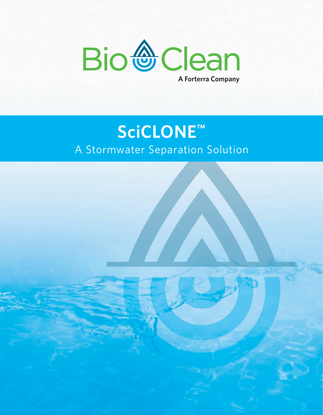

#### **SciCLONE™** A Stormwater Separation Solution

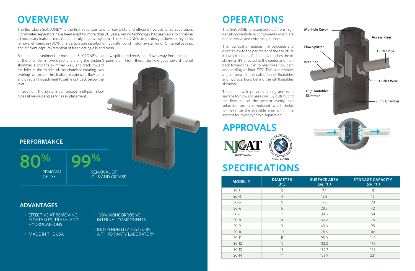#### **OVERVIEW**

The Bio Clean SciCLONE™ is the first separator to offer complete and efficient hydrodynamic separation. Stormwater separators have been used for more than 20 years, yet no technology has been able to combine all necessary features required for a truly effective system. The SciCLONE's simple design allows for high TSS removal efficiencies (80% for a particle size distribution typically found in stormwater runoff), internal bypass, and efficient capture/retention of free floating oils and trash.

For enhanced sediment removal, the SciCLONE's inlet flow splitter redirects inlet flows away from the center of the chamber in two directions along the system's perimeter. From there, the flow goes toward the oil

skimmer, along the skimmer wall, and back toward the inlet in the middle of the chamber creating two swirling vortexes. This feature maximizes flow path and directs fine sediment to settle out back below the inlet.

In addition, the system can accept multiple inflow pipes at various angles for easy placement.



**80%** REMOVAL OF TSS

## **OPERATIONS**

The SciCLONE is manufactured from high density polyethylene components which are noncorrosive and extremely durable.

The flow splitter reduces inlet velocities and directs flow to the perimeter of the structure in two directions. As the flow reaches the oil skimmer, it's directed to the center and then back toward the inlet to maximize flow path and settling of finer TSS. This also creates a calm area for the collection of floatables and hydrocarbons behind the oil/floatables skimmer.

The outlet weir provides a long and even surface for flows to pass over. By distributing the flow out of the system evenly, exit velocities are also reduced which helps to maximize the available area within the system for hydrodynamic separation.



#### **SPECIFICATIONS**

| <b>MODEL#</b> | <b>DIAMETER</b><br>(f <sub>t</sub> ) | <b>SURFACE AREA</b><br>(sq. ft.) | <b>STORAGE CAPACITY</b><br>(cu. ft.) |
|---------------|--------------------------------------|----------------------------------|--------------------------------------|
| $SC-3$        | 3                                    | 7.1                              | 11                                   |
| $SC-4$        | $\overline{4}$                       | 12.6                             | 19                                   |
| $SC-5$        | 5                                    | 19.6                             | 29                                   |
| $SC-6$        | 6                                    | 28.3                             | 42                                   |
| $SC-7$        | 7                                    | 38.5                             | 58                                   |
| $SC-8$        | 8                                    | 50.2                             | 75                                   |
| $SC-9$        | 9                                    | 63.6                             | 95                                   |
| $SC-10$       | 10                                   | 78.5                             | 118                                  |
| $SC-11$       | 11                                   | 95.0                             | 142                                  |
| $SC-12$       | 12                                   | 113.0                            | 170                                  |
| $SC-13$       | 13                                   | 132.7                            | 199                                  |
| $SC-14$       | 14                                   | 153.9                            | 231                                  |

#### **ADVANTAGES**

- 100% NONCORROSIVE INTERNAL COMPONENTS
- INDEPENDENTLY TESTED BY A THIRD PARTY LABORATORY
- EFFECTIVE AT REMOVING FLOATABLES, TRASH, AND HYDROCARBONS
- MADE IN THE USA

#### **APPROVALS**

# **99%**

REMOVAL OF OILS AND GREASE